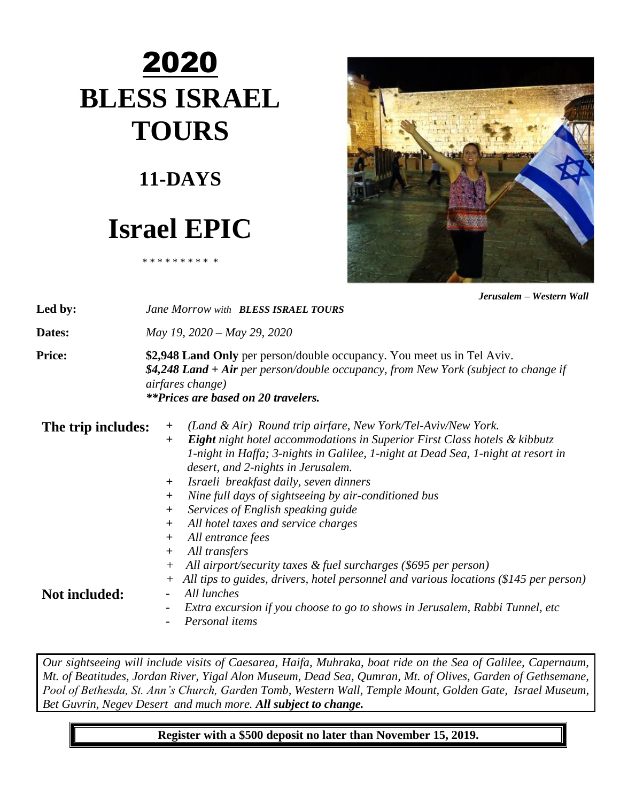# 2020 **BLESS ISRAEL TOURS**

### **11-DAYS**

## **Israel EPIC**

\* \* \* \* \* \* \* \* \* \*



*Jerusalem – Western Wall*

| Led by:            | Jane Morrow with <b>BLESS ISRAEL TOURS</b>                                                                                                                                                                                                                                                                                                                                                                                                                                                     |  |  |  |  |  |  |
|--------------------|------------------------------------------------------------------------------------------------------------------------------------------------------------------------------------------------------------------------------------------------------------------------------------------------------------------------------------------------------------------------------------------------------------------------------------------------------------------------------------------------|--|--|--|--|--|--|
| Dates:             | May 19, 2020 - May 29, 2020                                                                                                                                                                                                                                                                                                                                                                                                                                                                    |  |  |  |  |  |  |
| <b>Price:</b>      | \$2,948 Land Only per person/double occupancy. You meet us in Tel Aviv.<br>\$4,248 Land + Air per person/double occupancy, from New York (subject to change if<br>airfares change)<br><b>**Prices are based on 20 travelers.</b>                                                                                                                                                                                                                                                               |  |  |  |  |  |  |
| The trip includes: | (Land & Air) Round trip airfare, New York/Tel-Aviv/New York.<br>$\pm$<br><b>Eight</b> night hotel accommodations in Superior First Class hotels & kibbutz<br>$+$<br>1-night in Haffa; 3-nights in Galilee, 1-night at Dead Sea, 1-night at resort in<br>desert, and 2-nights in Jerusalem.<br>Israeli breakfast daily, seven dinners<br>$+$<br>Nine full days of sightseeing by air-conditioned bus<br>$+$<br>Services of English speaking guide<br>$+$<br>All hotel taxes and service charges |  |  |  |  |  |  |
| Not included:      | $\bm{+}$<br>All entrance fees<br>$+$<br>All transfers<br>$+$<br>All airport/security taxes & fuel surcharges (\$695 per person)<br>$^{+}$<br>All tips to guides, drivers, hotel personnel and various locations (\$145 per person)<br>$^{+}$<br>All lunches<br>Extra excursion if you choose to go to shows in Jerusalem, Rabbi Tunnel, etc<br>Personal items                                                                                                                                  |  |  |  |  |  |  |

*Our sightseeing will include visits of Caesarea, Haifa, Muhraka, boat ride on the Sea of Galilee, Capernaum, Mt. of Beatitudes, Jordan River, Yigal Alon Museum, Dead Sea, Qumran, Mt. of Olives, Garden of Gethsemane, Pool of Bethesda, St. Ann's Church, Garden Tomb, Western Wall, Temple Mount, Golden Gate, Israel Museum, Bet Guvrin, Negev Desert and much more. All subject to change.*

**Register with a \$500 deposit no later than November 15, 2019.**